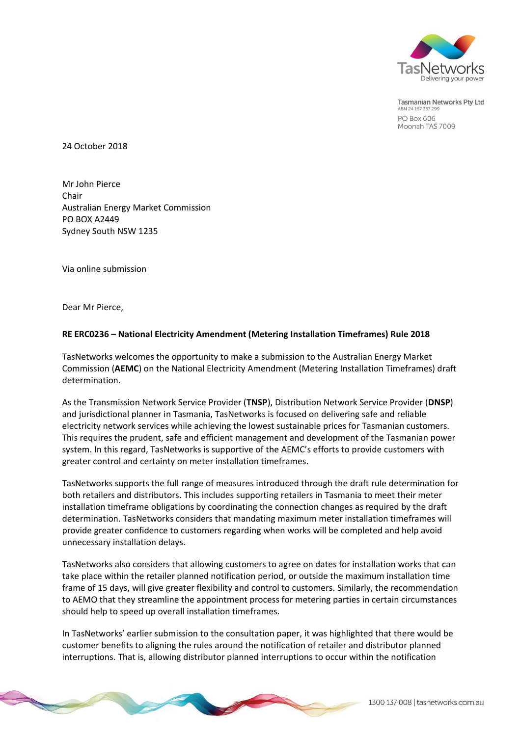

**Tasmanian Networks Pty Ltd** ABN 24 167 357 29 **PO Box 606** Moonah TAS 7009

24 October 2018

Mr John Pierce Chair Australian Energy Market Commission PO BOX A2449 Sydney South NSW 1235

Via online submission

Dear Mr Pierce,

## **RE ERC0236 – National Electricity Amendment (Metering Installation Timeframes) Rule 2018**

TasNetworks welcomes the opportunity to make a submission to the Australian Energy Market Commission (**AEMC**) on the National Electricity Amendment (Metering Installation Timeframes) draft determination.

As the Transmission Network Service Provider (**TNSP**), Distribution Network Service Provider (**DNSP**) and jurisdictional planner in Tasmania, TasNetworks is focused on delivering safe and reliable electricity network services while achieving the lowest sustainable prices for Tasmanian customers. This requires the prudent, safe and efficient management and development of the Tasmanian power system. In this regard, TasNetworks is supportive of the AEMC's efforts to provide customers with greater control and certainty on meter installation timeframes.

TasNetworks supports the full range of measures introduced through the draft rule determination for both retailers and distributors. This includes supporting retailers in Tasmania to meet their meter installation timeframe obligations by coordinating the connection changes as required by the draft determination. TasNetworks considers that mandating maximum meter installation timeframes will provide greater confidence to customers regarding when works will be completed and help avoid unnecessary installation delays.

TasNetworks also considers that allowing customers to agree on dates for installation works that can take place within the retailer planned notification period, or outside the maximum installation time frame of 15 days, will give greater flexibility and control to customers. Similarly, the recommendation to AEMO that they streamline the appointment process for metering parties in certain circumstances should help to speed up overall installation timeframes.

In TasNetworks' earlier submission to the consultation paper, it was highlighted that there would be customer benefits to aligning the rules around the notification of retailer and distributor planned interruptions. That is, allowing distributor planned interruptions to occur within the notification